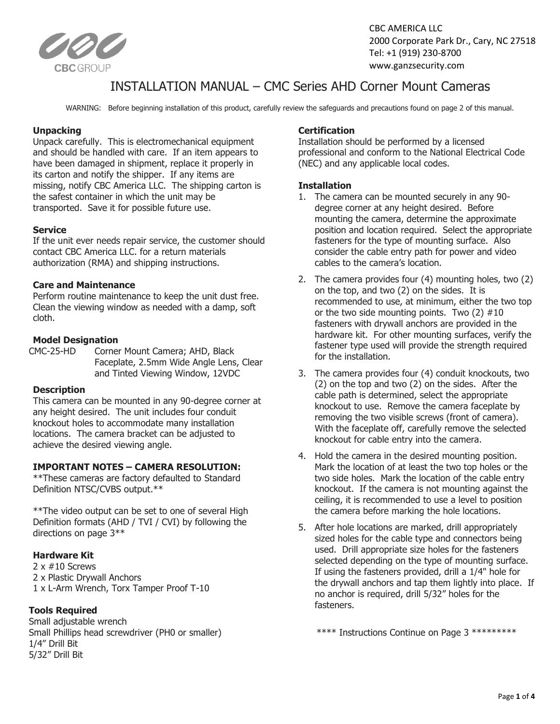

## INSTALLATION MANUAL – CMC Series AHD Corner Mount Cameras

WARNING: Before beginning installation of this product, carefully review the safeguards and precautions found on page 2 of this manual.

#### **Unpacking**

Unpack carefully. This is electromechanical equipment and should be handled with care. If an item appears to have been damaged in shipment, replace it properly in its carton and notify the shipper. If any items are missing, notify CBC America LLC. The shipping carton is the safest container in which the unit may be transported. Save it for possible future use.

#### **Service**

If the unit ever needs repair service, the customer should contact CBC America LLC. for a return materials authorization (RMA) and shipping instructions.

#### **Care and Maintenance**

Perform routine maintenance to keep the unit dust free. Clean the viewing window as needed with a damp, soft cloth.

#### **Model Designation**

CMC-25-HD Corner Mount Camera; AHD, Black Faceplate, 2.5mm Wide Angle Lens, Clear and Tinted Viewing Window, 12VDC

#### **Description**

This camera can be mounted in any 90-degree corner at any height desired. The unit includes four conduit knockout holes to accommodate many installation locations. The camera bracket can be adjusted to achieve the desired viewing angle.

#### **IMPORTANT NOTES – CAMERA RESOLUTION:**

\*\*These cameras are factory defaulted to Standard Definition NTSC/CVBS output.\*\*

\*\*The video output can be set to one of several High Definition formats (AHD / TVI / CVI) by following the directions on page 3\*\*

#### **Hardware Kit**

2 x #10 Screws 2 x Plastic Drywall Anchors 1 x L-Arm Wrench, Torx Tamper Proof T-10

#### **Tools Required**

Small adjustable wrench Small Phillips head screwdriver (PH0 or smaller) 1/4" Drill Bit 5/32" Drill Bit

#### **Certification**

Installation should be performed by a licensed professional and conform to the National Electrical Code (NEC) and any applicable local codes.

#### **Installation**

- 1. The camera can be mounted securely in any 90 degree corner at any height desired. Before mounting the camera, determine the approximate position and location required. Select the appropriate fasteners for the type of mounting surface. Also consider the cable entry path for power and video cables to the camera's location.
- 2. The camera provides four (4) mounting holes, two (2) on the top, and two (2) on the sides. It is recommended to use, at minimum, either the two top or the two side mounting points. Two  $(2)$  #10 fasteners with drywall anchors are provided in the hardware kit. For other mounting surfaces, verify the fastener type used will provide the strength required for the installation.
- 3. The camera provides four (4) conduit knockouts, two (2) on the top and two (2) on the sides. After the cable path is determined, select the appropriate knockout to use. Remove the camera faceplate by removing the two visible screws (front of camera). With the faceplate off, carefully remove the selected knockout for cable entry into the camera.
- 4. Hold the camera in the desired mounting position. Mark the location of at least the two top holes or the two side holes. Mark the location of the cable entry knockout. If the camera is not mounting against the ceiling, it is recommended to use a level to position the camera before marking the hole locations.
- 5. After hole locations are marked, drill appropriately sized holes for the cable type and connectors being used. Drill appropriate size holes for the fasteners selected depending on the type of mounting surface. If using the fasteners provided, drill a 1/4" hole for the drywall anchors and tap them lightly into place. If no anchor is required, drill 5/32" holes for the fasteners.

\*\*\*\* Instructions Continue on Page 3 \*\*\*\*\*\*\*\*\*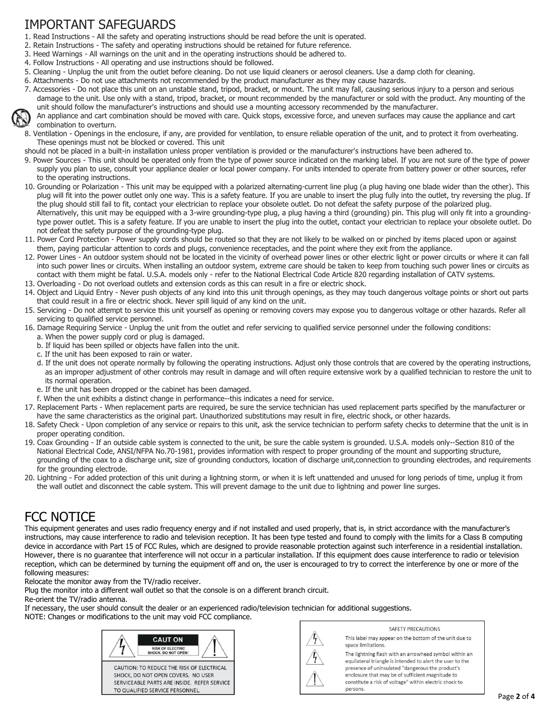# IMPORTANT SAFEGUARDS

- 1. Read Instructions All the safety and operating instructions should be read before the unit is operated.
- 2. Retain Instructions The safety and operating instructions should be retained for future reference.
- 3. Heed Warnings All warnings on the unit and in the operating instructions should be adhered to.
- 4. Follow Instructions All operating and use instructions should be followed.
- 5. Cleaning Unplug the unit from the outlet before cleaning. Do not use liquid cleaners or aerosol cleaners. Use a damp cloth for cleaning.
- 6. Attachments Do not use attachments not recommended by the product manufacturer as they may cause hazards.
- 7. Accessories Do not place this unit on an unstable stand, tripod, bracket, or mount. The unit may fall, causing serious injury to a person and serious damage to the unit. Use only with a stand, tripod, bracket, or mount recommended by the manufacturer or sold with the product. Any mounting of the unit should follow the manufacturer's instructions and should use a mounting accessory recommended by the manufacturer.



- 8. Ventilation Openings in the enclosure, if any, are provided for ventilation, to ensure reliable operation of the unit, and to protect it from overheating. These openings must not be blocked or covered. This unit
- should not be placed in a built-in installation unless proper ventilation is provided or the manufacturer's instructions have been adhered to.
- 9. Power Sources This unit should be operated only from the type of power source indicated on the marking label. If you are not sure of the type of power supply you plan to use, consult your appliance dealer or local power company. For units intended to operate from battery power or other sources, refer to the operating instructions.
- 10. Grounding or Polarization This unit may be equipped with a polarized alternating-current line plug (a plug having one blade wider than the other). This plug will fit into the power outlet only one way. This is a safety feature. If you are unable to insert the plug fully into the outlet, try reversing the plug. If the plug should still fail to fit, contact your electrician to replace your obsolete outlet. Do not defeat the safety purpose of the polarized plug. Alternatively, this unit may be equipped with a 3-wire grounding-type plug, a plug having a third (grounding) pin. This plug will only fit into a groundingtype power outlet. This is a safety feature. If you are unable to insert the plug into the outlet, contact your electrician to replace your obsolete outlet. Do not defeat the safety purpose of the grounding-type plug.
- 11. Power Cord Protection Power supply cords should be routed so that they are not likely to be walked on or pinched by items placed upon or against them, paying particular attention to cords and plugs, convenience receptacles, and the point where they exit from the appliance.
- 12. Power Lines An outdoor system should not be located in the vicinity of overhead power lines or other electric light or power circuits or where it can fall into such power lines or circuits. When installing an outdoor system, extreme care should be taken to keep from touching such power lines or circuits as contact with them might be fatal. U.S.A. models only - refer to the National Electrical Code Article 820 regarding installation of CATV systems.
- 13. Overloading Do not overload outlets and extension cords as this can result in a fire or electric shock.
- 14. Object and Liquid Entry Never push objects of any kind into this unit through openings, as they may touch dangerous voltage points or short out parts that could result in a fire or electric shock. Never spill liquid of any kind on the unit.
- 15. Servicing Do not attempt to service this unit yourself as opening or removing covers may expose you to dangerous voltage or other hazards. Refer all servicing to qualified service personnel.
- 16. Damage Requiring Service Unplug the unit from the outlet and refer servicing to qualified service personnel under the following conditions:
	- a. When the power supply cord or plug is damaged.
	- b. If liquid has been spilled or objects have fallen into the unit.
	- c. If the unit has been exposed to rain or water.
	- d. If the unit does not operate normally by following the operating instructions. Adjust only those controls that are covered by the operating instructions, as an improper adjustment of other controls may result in damage and will often require extensive work by a qualified technician to restore the unit to its normal operation.
	- e. If the unit has been dropped or the cabinet has been damaged.
- f. When the unit exhibits a distinct change in performance--this indicates a need for service.
- 17. Replacement Parts When replacement parts are required, be sure the service technician has used replacement parts specified by the manufacturer or have the same characteristics as the original part. Unauthorized substitutions may result in fire, electric shock, or other hazards.
- 18. Safety Check Upon completion of any service or repairs to this unit, ask the service technician to perform safety checks to determine that the unit is in proper operating condition.
- 19. Coax Grounding If an outside cable system is connected to the unit, be sure the cable system is grounded. U.S.A. models only--Section 810 of the National Electrical Code, ANSI/NFPA No.70-1981, provides information with respect to proper grounding of the mount and supporting structure, grounding of the coax to a discharge unit, size of grounding conductors, location of discharge unit,connection to grounding electrodes, and requirements for the grounding electrode.
- 20. Lightning For added protection of this unit during a lightning storm, or when it is left unattended and unused for long periods of time, unplug it from the wall outlet and disconnect the cable system. This will prevent damage to the unit due to lightning and power line surges.

## FCC NOTICE

This equipment generates and uses radio frequency energy and if not installed and used properly, that is, in strict accordance with the manufacturer's instructions, may cause interference to radio and television reception. It has been type tested and found to comply with the limits for a Class B computing device in accordance with Part 15 of FCC Rules, which are designed to provide reasonable protection against such interference in a residential installation. However, there is no guarantee that interference will not occur in a particular installation. If this equipment does cause interference to radio or television reception, which can be determined by turning the equipment off and on, the user is encouraged to try to correct the interference by one or more of the following measures:

Relocate the monitor away from the TV/radio receiver.

Plug the monitor into a different wall outlet so that the console is on a different branch circuit. Re-orient the TV/radio antenna.

If necessary, the user should consult the dealer or an experienced radio/television technician for additional suggestions.

NOTE: Changes or modifications to the unit may void FCC compliance.





SAFFTY PRECAUTIONS This label may appear on the bottom of the unit due to space limitations.

The lightning flash with an arrowhead symbol within an equilateral triangle is intended to alert the user to the presence of uninsulated "dangerous the product's enclosure that may be of sufficient magnitude to constitute a risk of voltage" within electric shock to persons.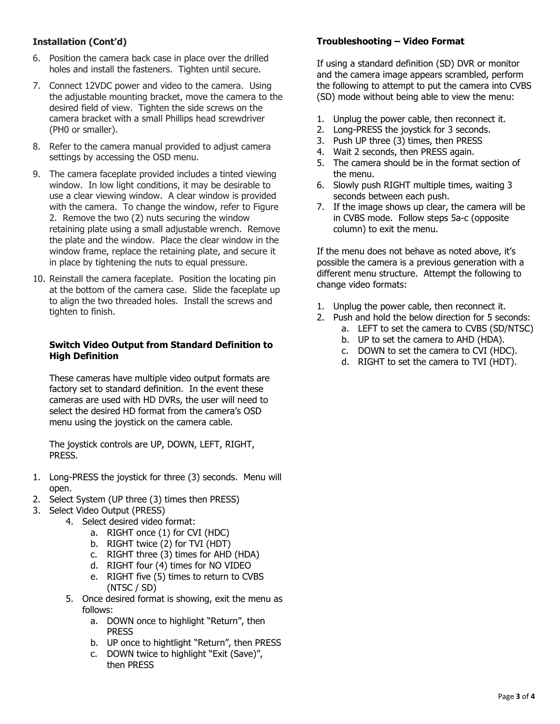### **Installation (Cont'd)**

- 6. Position the camera back case in place over the drilled holes and install the fasteners. Tighten until secure.
- 7. Connect 12VDC power and video to the camera. Using the adjustable mounting bracket, move the camera to the desired field of view. Tighten the side screws on the camera bracket with a small Phillips head screwdriver (PH0 or smaller).
- 8. Refer to the camera manual provided to adjust camera settings by accessing the OSD menu.
- 9. The camera faceplate provided includes a tinted viewing window. In low light conditions, it may be desirable to use a clear viewing window. A clear window is provided with the camera. To change the window, refer to Figure 2. Remove the two (2) nuts securing the window retaining plate using a small adjustable wrench. Remove the plate and the window. Place the clear window in the window frame, replace the retaining plate, and secure it in place by tightening the nuts to equal pressure.
- 10. Reinstall the camera faceplate. Position the locating pin at the bottom of the camera case. Slide the faceplate up to align the two threaded holes. Install the screws and tighten to finish.

#### **Switch Video Output from Standard Definition to High Definition**

These cameras have multiple video output formats are factory set to standard definition. In the event these cameras are used with HD DVRs, the user will need to select the desired HD format from the camera's OSD menu using the joystick on the camera cable.

The joystick controls are UP, DOWN, LEFT, RIGHT, PRESS.

- 1. Long-PRESS the joystick for three (3) seconds. Menu will open.
- 2. Select System (UP three (3) times then PRESS)
- 3. Select Video Output (PRESS)
	- 4. Select desired video format:
		- a. RIGHT once (1) for CVI (HDC)
		- b. RIGHT twice (2) for TVI (HDT)
		- c. RIGHT three (3) times for AHD (HDA)
		- d. RIGHT four (4) times for NO VIDEO
		- e. RIGHT five (5) times to return to CVBS (NTSC / SD)
	- 5. Once desired format is showing, exit the menu as follows:
		- a. DOWN once to highlight "Return", then PRESS
		- b. UP once to hightlight "Return", then PRESS
		- c. DOWN twice to highlight "Exit (Save)", then PRESS

### **Troubleshooting – Video Format**

If using a standard definition (SD) DVR or monitor and the camera image appears scrambled, perform the following to attempt to put the camera into CVBS (SD) mode without being able to view the menu:

- 1. Unplug the power cable, then reconnect it.
- 2. Long-PRESS the joystick for 3 seconds.
- 3. Push UP three (3) times, then PRESS
- 4. Wait 2 seconds, then PRESS again.
- 5. The camera should be in the format section of the menu.
- 6. Slowly push RIGHT multiple times, waiting 3 seconds between each push.
- 7. If the image shows up clear, the camera will be in CVBS mode. Follow steps 5a-c (opposite column) to exit the menu.

If the menu does not behave as noted above, it's possible the camera is a previous generation with a different menu structure. Attempt the following to change video formats:

- 1. Unplug the power cable, then reconnect it.
- 2. Push and hold the below direction for 5 seconds:
	- a. LEFT to set the camera to CVBS (SD/NTSC)
	- b. UP to set the camera to AHD (HDA).
	- c. DOWN to set the camera to CVI (HDC).
	- d. RIGHT to set the camera to TVI (HDT).